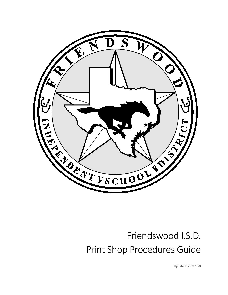

# Friendswood I.S.D. Print Shop Procedures Guide

Updated 8/12/2020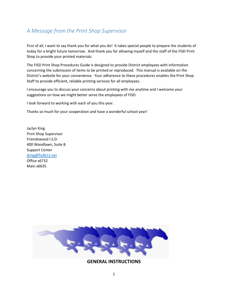# *A Message from the Print Shop Supervisor*

First of all, I want to say thank you for what you do! It takes special people to prepare the students of today for a bright future tomorrow. And thank you for allowing myself and the staff of the FISD Print Shop to provide your printed materials.

The FISD Print Shop Procedures Guide is designed to provide District employees with information concerning the submission of items to be printed or reproduced. This manual is available on the District's website for your convenience. Your adherence to these procedures enables the Print Shop Staff to provide efficient, reliable printing services for all employees.

I encourage you to discuss your concerns about printing with me anytime and I welcome your suggestions on how we might better serve the employees of FISD.

I look forward to working with each of you this year.

Thanks so much for your cooperation and have a wonderful school year!

Jaclyn King Print Shop Supervisor Friendswood I.S.D. 400 Woodlawn, Suite B Support Center [jking@fisdk12.net](mailto:jking@fisdk12.net) Office x6732 Main x6635



**GENERAL INSTRUCTIONS**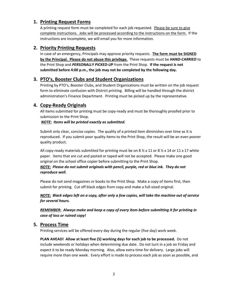# **1. Printing Request Forms**

A printing request form must be completed for each job requested. Please be sure to give complete instructions. Jobs will be processed according to the instructions on the form. If the instructions are incomplete, we will email you for more information.

### **2. Priority Printing Requests**

In case of an emergency, Principals may approve priority requests. **The form must be SIGNED by the Principal. Please do not abuse this privilege.** These requests must be *HAND-CARRIED* to the Print Shop and *PERSONALLY PICKED-U***P** from the Print Shop. **If the request is not submitted before 4:00 p.m., the job may not be completed by the following day.** 

# **3. PTO's, Booster Clubs and Student Organizations**

Printing by PTO's, Booster Clubs, and Student Organizations must be written on the job request form to eliminate confusion with District printing. Billing will be handled through the district administration's Finance Department. Printing must be picked up by the representative.

# **4. Copy-Ready Originals**

All items submitted for printing must be copy-ready and must be thoroughly proofed prior to submission to the Print Shop.

#### *NOTE: Items will be printed exactly as submitted.*

Submit only clear, concise copies. The quality of a printed item diminishes over time as it is reproduced. If you submit poor quality items to the Print Shop, the result will be an even poorer quality product.

All copy-ready materials submitted for printing must be on 8  $\frac{1}{2}$  x 11 or 8  $\frac{1}{2}$  x 14 or 11 x 17 white paper.Items that are cut and pasted or taped will not be accepted.Please make one good original on the school office copier before submitting to the Print Shop.

#### *NOTE: Please do not submit originals with pencil, purple, red or blue ink. They do not reproduce well.*

Please do not send magazines or books to the Print Shop. Make a copy of items first, then submit for printing. Cut off black edges from copy and make a full-sized original.

*NOTE: Black edges left on a copy, after only a few copies, will take the machine out of service for several hours.*

*REMEMBER:**Always make and keep a copy of every item before submitting it for printing in case of loss or ruined copy!*

#### **5. Process Time**

Printing services will be offered every day during the regular (five day) work week.

**PLAN AHEAD! Allow at least five (5) working days for each job to be processed.** Do not include weekends or holidays when determining due date. Do not turn in a job on Friday and expect it to be ready Monday morning. Also, allow extra time for delivery. Large jobs will require more than one week. Every effort is made to process each job as soon as possible, and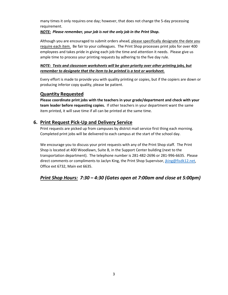many times it only requires one day; however, that does not change the 5-day processing requirement.

#### *NOTE: Please remember, your job is not the only job in the Print Shop.*

Although you are encouraged to submit orders ahead, please specifically designate the date you require each item. Be fair to your colleagues. The Print Shop processes print jobs for over 400 employees and takes pride in giving each job the time and attention it needs. Please give us ample time to process your printing requests by adhering to the five day rule.

#### *NOTE: Tests and classroom worksheets will be given priority over other printing jobs, but remember to designate that the item to be printed is a test or worksheet.*

Every effort is made to provide you with quality printing or copies, but if the copiers are down or producing inferior copy quality, please be patient.

# **Quantity Requested**

**Please coordinate print jobs with the teachers in your grade/department and check with your team leader before requesting copies.** If other teachers in your department want the same item printed, it will save time if all can be printed at the same time.

# **6. Print Request Pick-Up and Delivery Service**

Print requests are picked up from campuses by district mail service first thing each morning. Completed print jobs will be delivered to each campus at the start of the school day.

We encourage you to discuss your print requests with any of the Print Shop staff. The Print Shop is located at 400 Woodlawn, Suite B, in the Support Center building (next to the transportation department). The telephone number is 281-482-2696 or 281-996-6635. Please direct comments or compliments to Jaclyn King, the Print Shop Supervisor[, jking@fisdk12.net,](mailto:jking@fisdk12.net) Office ext 6732, Main ext 6635.

# *Print Shop Hours: 7:30 – 4:30 (Gates open at 7:00am and close at 5:00pm)*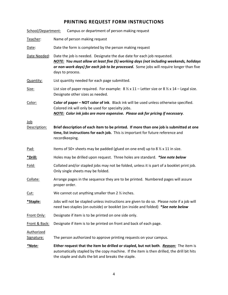# **PRINTING REQUEST FORM INSTRUCTIONS**

| School/Department:              | Campus or department of person making request                                                                                                                                                                                                                                  |
|---------------------------------|--------------------------------------------------------------------------------------------------------------------------------------------------------------------------------------------------------------------------------------------------------------------------------|
| Teacher:                        | Name of person making request                                                                                                                                                                                                                                                  |
| Date:                           | Date the form is completed by the person making request                                                                                                                                                                                                                        |
| Date Needed:                    | Date the job is needed. Designate the due date for each job requested.<br>NOTE: You must allow at least five (5) working days (not including weekends, holidays<br>or non-work days) for each job to be processed. Some jobs will require longer than five<br>days to process. |
| Quantity:                       | List quantity needed for each page submitted.                                                                                                                                                                                                                                  |
| Size:                           | List size of paper required. For example: $8\frac{1}{2} \times 11$ - Letter size or $8\frac{1}{2} \times 14$ - Legal size.<br>Designate other sizes as needed.                                                                                                                 |
| Color:                          | Color of paper - NOT color of ink. Black ink will be used unless otherwise specified.<br>Colored ink will only be used for specialty jobs.<br><b>NOTE:</b> Color ink jobs are more expensive. Please ask for pricing if necessary.                                             |
| <u>Job</u>                      |                                                                                                                                                                                                                                                                                |
| Description:                    | Brief description of each item to be printed. If more than one job is submitted at one<br>time, list instructions for each job. This is important for future reference and<br>recordkeeping.                                                                                   |
| Pad:                            | Items of 50+ sheets may be padded (glued on one end) up to 8 $\frac{1}{2}$ x 11 in size.                                                                                                                                                                                       |
| <u>*Drill:</u>                  | Holes may be drilled upon request. Three holes are standard. *See note below                                                                                                                                                                                                   |
| Fold:                           | Collated and/or stapled jobs may not be folded, unless it is part of a booklet print job.<br>Only single sheets may be folded.                                                                                                                                                 |
| Collate:                        | Arrange pages in the sequence they are to be printed. Numbered pages will assure<br>proper order.                                                                                                                                                                              |
| <u>Cut:</u>                     | We cannot cut anything smaller than $2 \frac{1}{2}$ inches.                                                                                                                                                                                                                    |
| *Staple:                        | Jobs will not be stapled unless instructions are given to do so. Please note if a job will<br>need two staples (on outside) or booklet (on inside and folded) *See note below                                                                                                  |
| Front Only:                     | Designate if item is to be printed on one side only.                                                                                                                                                                                                                           |
| Front & Back:                   | Designate if item is to be printed on front and back of each page.                                                                                                                                                                                                             |
| <b>Authorized</b><br>Signature: | The person authorized to approve printing requests on your campus.                                                                                                                                                                                                             |
| <u>*Note:</u>                   | Either request that the item be drilled or stapled, but not both. Reason: The item is<br>automatically stapled by the copy machine. If the item is then drilled, the drill bit hits<br>the staple and dulls the bit and breaks the staple.                                     |